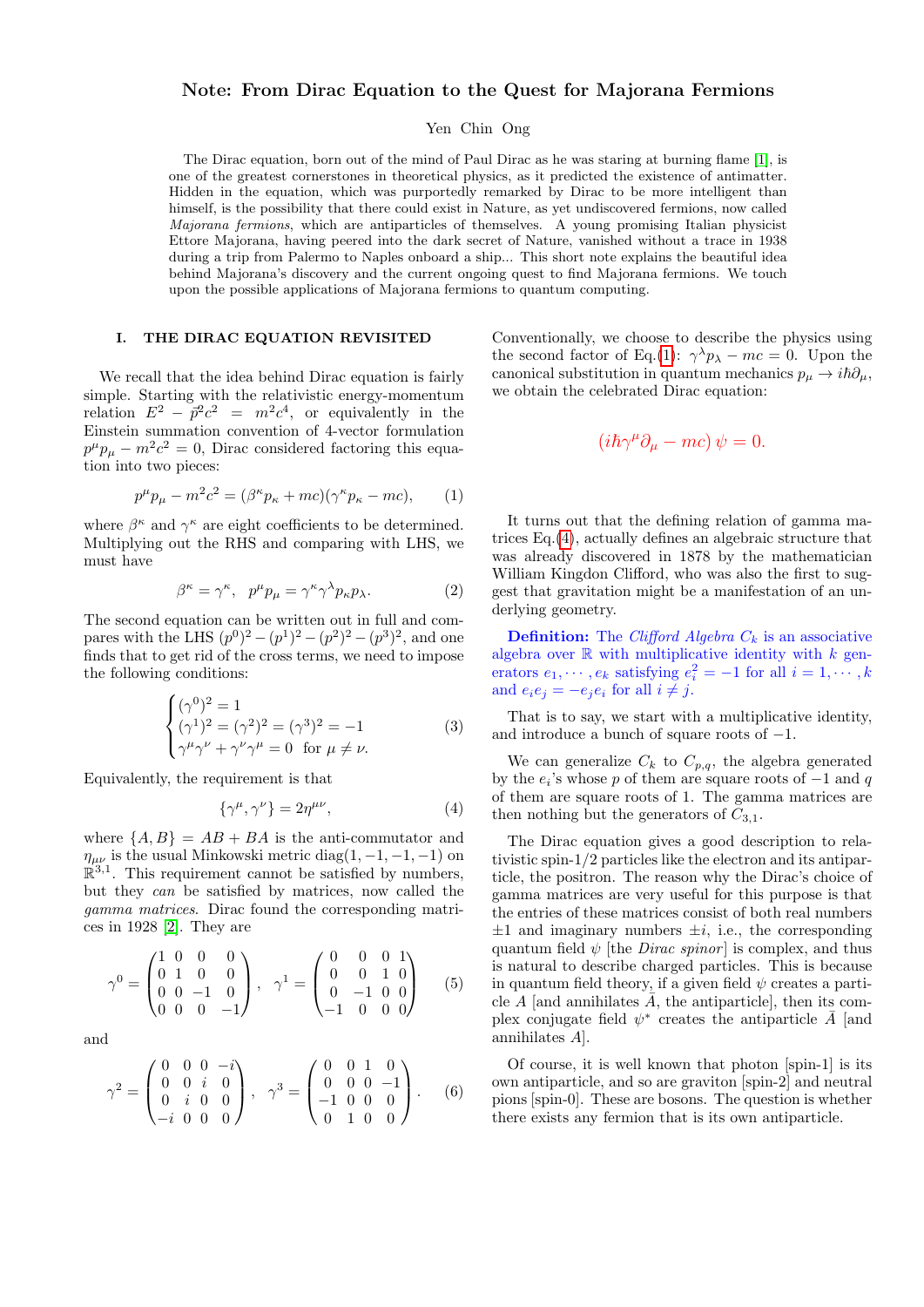# Note: From Dirac Equation to the Quest for Majorana Fermions

Yen Chin Ong

The Dirac equation, born out of the mind of Paul Dirac as he was staring at burning flame [\[1\]](#page-4-0), is one of the greatest cornerstones in theoretical physics, as it predicted the existence of antimatter. Hidden in the equation, which was purportedly remarked by Dirac to be more intelligent than himself, is the possibility that there could exist in Nature, as yet undiscovered fermions, now called Majorana fermions, which are antiparticles of themselves. A young promising Italian physicist Ettore Majorana, having peered into the dark secret of Nature, vanished without a trace in 1938 during a trip from Palermo to Naples onboard a ship... This short note explains the beautiful idea behind Majorana's discovery and the current ongoing quest to find Majorana fermions. We touch upon the possible applications of Majorana fermions to quantum computing.

#### I. THE DIRAC EQUATION REVISITED

We recall that the idea behind Dirac equation is fairly simple. Starting with the relativistic energy-momentum relation  $E^2 - \vec{p}^2 c^2 = m^2 c^4$ , or equivalently in the Einstein summation convention of 4-vector formulation  $p^{\mu}p_{\mu} - m^2c^2 = 0$ , Dirac considered factoring this equation into two pieces:

<span id="page-0-0"></span>
$$
p^{\mu}p_{\mu} - m^2c^2 = (\beta^{\kappa}p_{\kappa} + mc)(\gamma^{\kappa}p_{\kappa} - mc), \qquad (1)
$$

where  $\beta^{\kappa}$  and  $\gamma^{\kappa}$  are eight coefficients to be determined. Multiplying out the RHS and comparing with LHS, we must have

$$
\beta^{\kappa} = \gamma^{\kappa}, \quad p^{\mu} p_{\mu} = \gamma^{\kappa} \gamma^{\lambda} p_{\kappa} p_{\lambda}.
$$
 (2)

The second equation can be written out in full and compares with the LHS  $(p^{0})^2 - (p^{1})^2 - (p^{2})^2 - (p^{3})^2$ , and one finds that to get rid of the cross terms, we need to impose the following conditions:

$$
\begin{cases}\n(\gamma^0)^2 = 1\\ \n(\gamma^1)^2 = (\gamma^2)^2 = (\gamma^3)^2 = -1\\ \n\gamma^\mu \gamma^\nu + \gamma^\nu \gamma^\mu = 0 \text{ for } \mu \neq \nu.\n\end{cases}
$$
\n(3)

Equivalently, the requirement is that

<span id="page-0-1"></span>
$$
\{\gamma^{\mu}, \gamma^{\nu}\} = 2\eta^{\mu\nu},\tag{4}
$$

where  $\{A, B\} = AB + BA$  is the anti-commutator and  $\eta_{\mu\nu}$  is the usual Minkowski metric diag(1, -1, -1, -1) on  $\mathbb{R}^{3,1}$ . This requirement cannot be satisfied by numbers, but they can be satisfied by matrices, now called the gamma matrices. Dirac found the corresponding matrices in 1928 [\[2\]](#page-4-1). They are

$$
\gamma^0 = \begin{pmatrix} 1 & 0 & 0 & 0 \\ 0 & 1 & 0 & 0 \\ 0 & 0 & -1 & 0 \\ 0 & 0 & 0 & -1 \end{pmatrix}, \quad \gamma^1 = \begin{pmatrix} 0 & 0 & 0 & 1 \\ 0 & 0 & 1 & 0 \\ 0 & -1 & 0 & 0 \\ -1 & 0 & 0 & 0 \end{pmatrix} \tag{5}
$$

and

$$
\gamma^2 = \begin{pmatrix} 0 & 0 & 0 & -i \\ 0 & 0 & i & 0 \\ 0 & i & 0 & 0 \\ -i & 0 & 0 & 0 \end{pmatrix}, \quad \gamma^3 = \begin{pmatrix} 0 & 0 & 1 & 0 \\ 0 & 0 & 0 & -1 \\ -1 & 0 & 0 & 0 \\ 0 & 1 & 0 & 0 \end{pmatrix}.
$$
 (6)

Conventionally, we choose to describe the physics using the second factor of Eq.[\(1\)](#page-0-0):  $\gamma^{\lambda} p_{\lambda} - mc = 0$ . Upon the canonical substitution in quantum mechanics  $p_{\mu} \rightarrow i\hbar \partial_{\mu}$ , we obtain the celebrated Dirac equation:

$$
(i\hbar \gamma^{\mu} \partial_{\mu} - mc) \psi = 0.
$$

It turns out that the defining relation of gamma matrices Eq.[\(4\)](#page-0-1), actually defines an algebraic structure that was already discovered in 1878 by the mathematician William Kingdon Clifford, who was also the first to suggest that gravitation might be a manifestation of an underlying geometry.

**Definition:** The *Clifford Algebra*  $C_k$  is an associative algebra over  $\mathbb R$  with multiplicative identity with  $k$  generators  $e_1, \dots, e_k$  satisfying  $e_i^2 = -1$  for all  $i = 1, \dots, k$ and  $e_i e_j = -e_i e_i$  for all  $i \neq j$ .

That is to say, we start with a multiplicative identity, and introduce a bunch of square roots of  $-1$ .

We can generalize  $C_k$  to  $C_{p,q}$ , the algebra generated by the  $e_i$ 's whose p of them are square roots of  $-1$  and q of them are square roots of 1. The gamma matrices are then nothing but the generators of  $C_{3,1}$ .

The Dirac equation gives a good description to relativistic spin-1/2 particles like the electron and its antiparticle, the positron. The reason why the Dirac's choice of gamma matrices are very useful for this purpose is that the entries of these matrices consist of both real numbers  $\pm 1$  and imaginary numbers  $\pm i$ , i.e., the corresponding quantum field  $\psi$  [the *Dirac spinor*] is complex, and thus is natural to describe charged particles. This is because in quantum field theory, if a given field  $\psi$  creates a particle A [and annihilates  $\overline{A}$ , the antiparticle], then its complex conjugate field  $\psi^*$  creates the antiparticle  $\bar{A}$  [and annihilates A].

Of course, it is well known that photon [spin-1] is its own antiparticle, and so are graviton [spin-2] and neutral pions [spin-0]. These are bosons. The question is whether there exists any fermion that is its own antiparticle.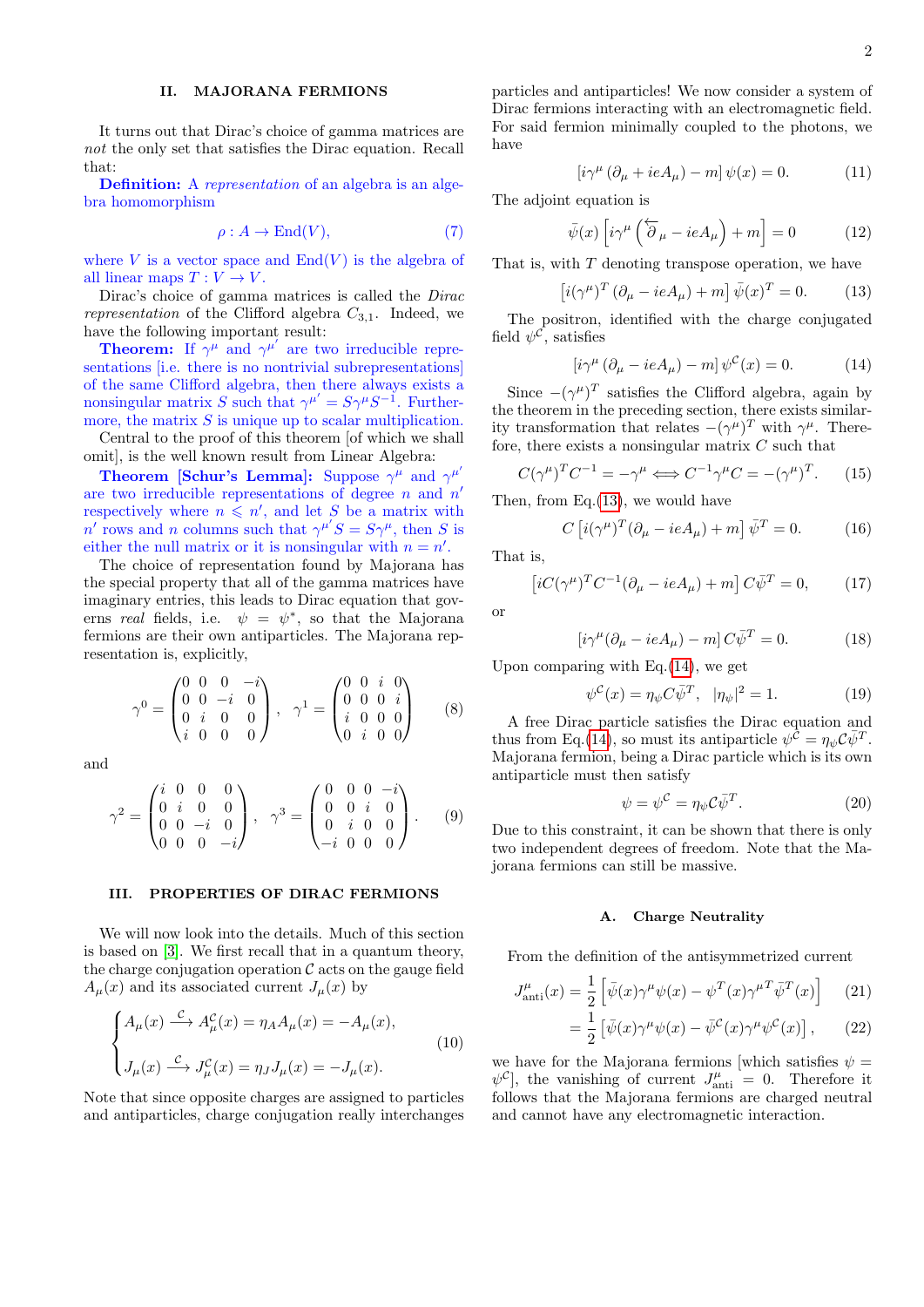# II. MAJORANA FERMIONS

It turns out that Dirac's choice of gamma matrices are not the only set that satisfies the Dirac equation. Recall that:

**Definition:** A representation of an algebra is an algebra homomorphism

$$
\rho: A \to \text{End}(V),\tag{7}
$$

where V is a vector space and  $End(V)$  is the algebra of all linear maps  $T: V \to V$ .

Dirac's choice of gamma matrices is called the Dirac representation of the Clifford algebra  $C_{3,1}$ . Indeed, we have the following important result:

**Theorem:** If  $\gamma^{\mu}$  and  $\gamma^{\mu'}$  are two irreducible representations *i.e.* there is no nontrivial subrepresentations of the same Clifford algebra, then there always exists a nonsingular matrix S such that  $\gamma^{\mu'} = S\gamma^{\mu}S^{-1}$ . Furthermore, the matrix  $S$  is unique up to scalar multiplication.

Central to the proof of this theorem [of which we shall omit], is the well known result from Linear Algebra:

**Theorem [Schur's Lemma]:** Suppose  $\gamma^{\mu}$  and  $\gamma^{\mu'}$ are two irreducible representations of degree  $n$  and  $n'$ respectively where  $n \leqslant n'$ , and let S be a matrix with n' rows and n columns such that  $\gamma^{\mu'}S = S\gamma^{\mu}$ , then S is either the null matrix or it is nonsingular with  $n = n'$ .

The choice of representation found by Majorana has the special property that all of the gamma matrices have imaginary entries, this leads to Dirac equation that governs real fields, i.e.  $\psi = \psi^*$ , so that the Majorana fermions are their own antiparticles. The Majorana representation is, explicitly,

$$
\gamma^0 = \begin{pmatrix} 0 & 0 & 0 & -i \\ 0 & 0 & -i & 0 \\ 0 & i & 0 & 0 \\ i & 0 & 0 & 0 \end{pmatrix}, \quad \gamma^1 = \begin{pmatrix} 0 & 0 & i & 0 \\ 0 & 0 & 0 & i \\ i & 0 & 0 & 0 \\ 0 & i & 0 & 0 \end{pmatrix} \tag{8}
$$

and

$$
\gamma^2 = \begin{pmatrix} i & 0 & 0 & 0 \\ 0 & i & 0 & 0 \\ 0 & 0 & -i & 0 \\ 0 & 0 & 0 & -i \end{pmatrix}, \quad \gamma^3 = \begin{pmatrix} 0 & 0 & 0 & -i \\ 0 & 0 & i & 0 \\ 0 & i & 0 & 0 \\ -i & 0 & 0 & 0 \end{pmatrix}.
$$
 (9)

## III. PROPERTIES OF DIRAC FERMIONS

We will now look into the details. Much of this section is based on [\[3\]](#page-5-0). We first recall that in a quantum theory, the charge conjugation operation  $\mathcal C$  acts on the gauge field  $A_\mu(x)$  and its associated current  $J_\mu(x)$  by

$$
\begin{cases} A_{\mu}(x) \stackrel{\mathcal{C}}{\longrightarrow} A_{\mu}^{\mathcal{C}}(x) = \eta_A A_{\mu}(x) = -A_{\mu}(x), \\ J_{\mu}(x) \stackrel{\mathcal{C}}{\longrightarrow} J_{\mu}^{\mathcal{C}}(x) = \eta_J J_{\mu}(x) = -J_{\mu}(x). \end{cases}
$$
(10)

Note that since opposite charges are assigned to particles and antiparticles, charge conjugation really interchanges particles and antiparticles! We now consider a system of Dirac fermions interacting with an electromagnetic field. For said fermion minimally coupled to the photons, we have

$$
\left[i\gamma^{\mu}\left(\partial_{\mu} + ieA_{\mu}\right) - m\right]\psi(x) = 0. \tag{11}
$$

The adjoint equation is

$$
\bar{\psi}(x)\left[i\gamma^{\mu}\left(\overleftarrow{\partial}_{\mu}-ieA_{\mu}\right)+m\right]=0\tag{12}
$$

That is, with  $T$  denoting transpose operation, we have

<span id="page-1-0"></span>
$$
\left[i(\gamma^{\mu})^T \left(\partial_{\mu} - ieA_{\mu}\right) + m\right] \bar{\psi}(x)^T = 0. \quad (13)
$$

The positron, identified with the charge conjugated field  $\psi^{\mathcal{C}}$ , satisfies

<span id="page-1-1"></span>
$$
\left[i\gamma^{\mu}\left(\partial_{\mu} - ieA_{\mu}\right) - m\right]\psi^{\mathcal{C}}(x) = 0. \tag{14}
$$

Since  $-(\gamma^{\mu})^T$  satisfies the Clifford algebra, again by the theorem in the preceding section, there exists similarity transformation that relates  $-(\gamma^{\mu})^T$  with  $\gamma^{\mu}$ . Therefore, there exists a nonsingular matrix  $C$  such that

$$
C(\gamma^{\mu})^T C^{-1} = -\gamma^{\mu} \Longleftrightarrow C^{-1} \gamma^{\mu} C = -(\gamma^{\mu})^T. \tag{15}
$$

Then, from Eq.[\(13\)](#page-1-0), we would have

$$
C\left[i(\gamma^{\mu})^T(\partial_{\mu} - ieA_{\mu}) + m\right]\bar{\psi}^T = 0. \tag{16}
$$

That is,

$$
\left[iC(\gamma^{\mu})^{T}C^{-1}(\partial_{\mu}-ieA_{\mu})+m\right]C\bar{\psi}^{T}=0, \qquad (17)
$$

or

$$
\left[i\gamma^{\mu}(\partial_{\mu} - ieA_{\mu}) - m\right]C\bar{\psi}^{T} = 0.
$$
 (18)

Upon comparing with  $Eq.(14)$  $Eq.(14)$ , we get

$$
\psi^{\mathcal{C}}(x) = \eta_{\psi} C \bar{\psi}^{T}, \quad |\eta_{\psi}|^{2} = 1. \tag{19}
$$

A free Dirac particle satisfies the Dirac equation and thus from Eq.[\(14\)](#page-1-1), so must its antiparticle  $\psi^{\tilde{C}} = \eta_{\psi} C \bar{\psi}^{T}$ . Majorana fermion, being a Dirac particle which is its own antiparticle must then satisfy

$$
\psi = \psi^{\mathcal{C}} = \eta_{\psi} \mathcal{C} \bar{\psi}^{T}.
$$
\n(20)

Due to this constraint, it can be shown that there is only two independent degrees of freedom. Note that the Majorana fermions can still be massive.

#### A. Charge Neutrality

From the definition of the antisymmetrized current

$$
J_{\text{anti}}^{\mu}(x) = \frac{1}{2} \left[ \bar{\psi}(x) \gamma^{\mu} \psi(x) - \psi^{T}(x) \gamma^{\mu T} \bar{\psi}^{T}(x) \right] \tag{21}
$$

 $=\frac{1}{2}$  $\frac{1}{2} \left[ \bar{\psi}(x) \gamma^{\mu} \psi(x) - \bar{\psi}^{\mathcal{C}}(x) \gamma^{\mu} \psi^{\mathcal{C}}(x) \right]$  $(22)$ 

we have for the Majorana fermions [which satisfies  $\psi =$  $\psi^c$ , the vanishing of current  $J_{\text{anti}}^{\mu} = 0$ . Therefore it follows that the Majorana fermions are charged neutral and cannot have any electromagnetic interaction.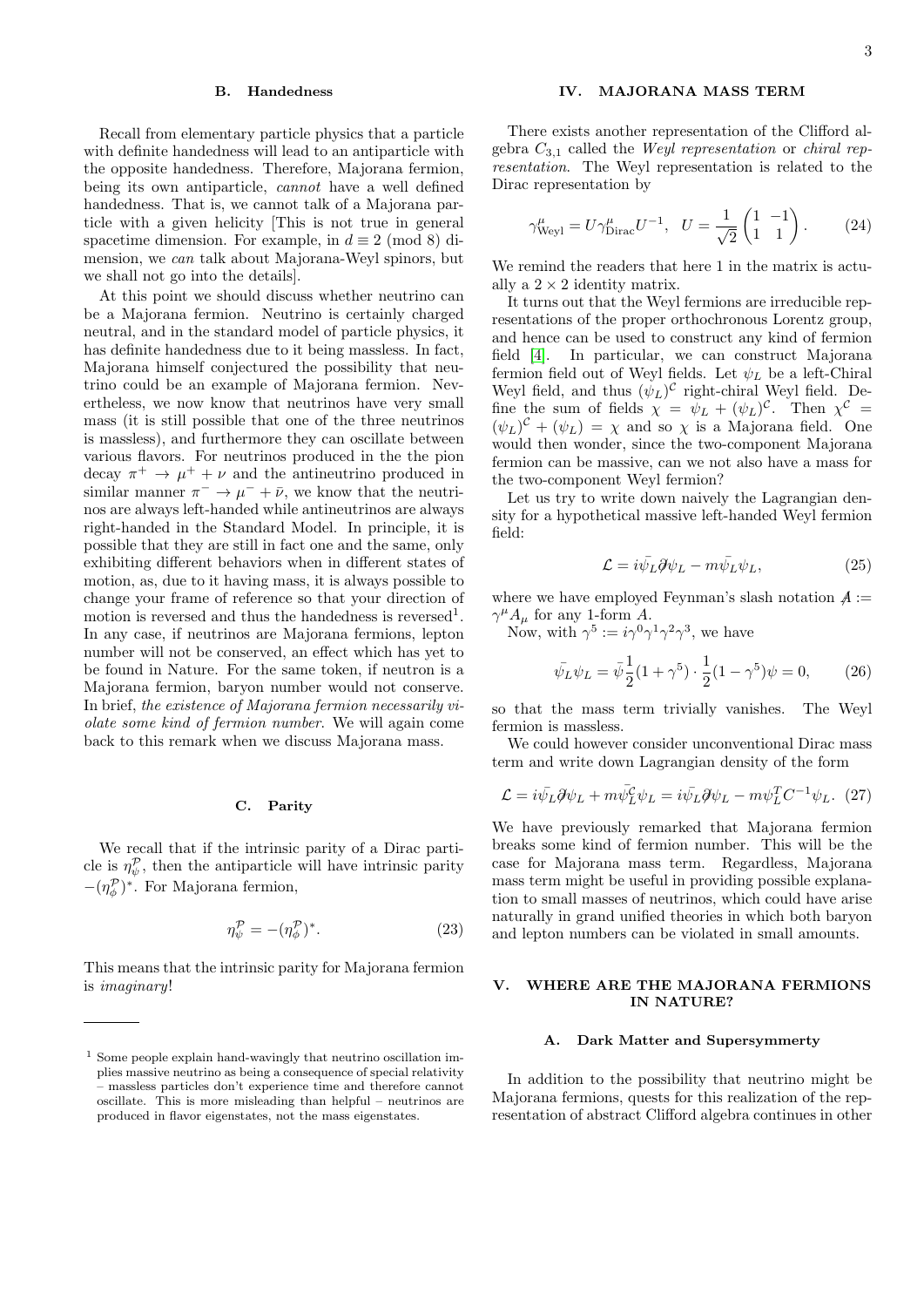#### B. Handedness

Recall from elementary particle physics that a particle with definite handedness will lead to an antiparticle with the opposite handedness. Therefore, Majorana fermion, being its own antiparticle, cannot have a well defined handedness. That is, we cannot talk of a Majorana particle with a given helicity [This is not true in general spacetime dimension. For example, in  $d \equiv 2 \pmod{8}$  dimension, we can talk about Majorana-Weyl spinors, but we shall not go into the details].

At this point we should discuss whether neutrino can be a Majorana fermion. Neutrino is certainly charged neutral, and in the standard model of particle physics, it has definite handedness due to it being massless. In fact, Majorana himself conjectured the possibility that neutrino could be an example of Majorana fermion. Nevertheless, we now know that neutrinos have very small mass (it is still possible that one of the three neutrinos is massless), and furthermore they can oscillate between various flavors. For neutrinos produced in the the pion decay  $\pi^+ \to \mu^+ + \nu$  and the antineutrino produced in similar manner  $\pi^- \to \mu^- + \bar{\nu}$ , we know that the neutrinos are always left-handed while antineutrinos are always right-handed in the Standard Model. In principle, it is possible that they are still in fact one and the same, only exhibiting different behaviors when in different states of motion, as, due to it having mass, it is always possible to change your frame of reference so that your direction of motion is reversed and thus the handedness is reversed<sup>1</sup>. In any case, if neutrinos are Majorana fermions, lepton number will not be conserved, an effect which has yet to be found in Nature. For the same token, if neutron is a Majorana fermion, baryon number would not conserve. In brief, the existence of Majorana fermion necessarily violate some kind of fermion number. We will again come back to this remark when we discuss Majorana mass.

## C. Parity

We recall that if the intrinsic parity of a Dirac particle is  $\eta_{\psi}^{\mathcal{P}}$ , then the antiparticle will have intrinsic parity  $-(\eta_{\phi}^{\mathcal{P}})^*$ . For Majorana fermion,

$$
\eta_{\psi}^{\mathcal{P}} = -(\eta_{\phi}^{\mathcal{P}})^*.
$$
\n(23)

This means that the intrinsic parity for Majorana fermion is imaginary!

# IV. MAJORANA MASS TERM

There exists another representation of the Clifford algebra  $C_{3,1}$  called the Weyl representation or chiral representation. The Weyl representation is related to the Dirac representation by

$$
\gamma_{\text{Weyl}}^{\mu} = U \gamma_{\text{Dirac}}^{\mu} U^{-1}, \quad U = \frac{1}{\sqrt{2}} \begin{pmatrix} 1 & -1 \\ 1 & 1 \end{pmatrix}.
$$
 (24)

We remind the readers that here 1 in the matrix is actually a  $2 \times 2$  identity matrix.

It turns out that the Weyl fermions are irreducible representations of the proper orthochronous Lorentz group, and hence can be used to construct any kind of fermion field [\[4\]](#page-5-1). In particular, we can construct Majorana fermion field out of Weyl fields. Let  $\psi_L$  be a left-Chiral Weyl field, and thus  $(\psi_L)^C$  right-chiral Weyl field. Define the sum of fields  $\chi = \psi_L + (\psi_L)^c$ . Then  $\chi^c$  $(\psi_L)^c + (\psi_L) = \chi$  and so  $\chi$  is a Majorana field. One would then wonder, since the two-component Majorana fermion can be massive, can we not also have a mass for the two-component Weyl fermion?

Let us try to write down naively the Lagrangian density for a hypothetical massive left-handed Weyl fermion field:

$$
\mathcal{L} = i\bar{\psi}_L \partial \psi_L - m\bar{\psi}_L \psi_L, \qquad (25)
$$

where we have employed Feynman's slash notation  $A :=$  $\gamma^{\mu} A_{\mu}$  for any 1-form A.

Now, with  $\gamma^5 := i\gamma^0\gamma^1\gamma^2\gamma^3$ , we have

$$
\bar{\psi_L}\psi_L = \bar{\psi}\frac{1}{2}(1+\gamma^5)\cdot\frac{1}{2}(1-\gamma^5)\psi = 0,\qquad(26)
$$

so that the mass term trivially vanishes. The Weyl fermion is massless.

We could however consider unconventional Dirac mass term and write down Lagrangian density of the form

$$
\mathcal{L} = i\bar{\psi}_L \partial \psi_L + m\bar{\psi}_L^c \psi_L = i\bar{\psi}_L \partial \psi_L - m\psi_L^T C^{-1} \psi_L. \tag{27}
$$

We have previously remarked that Majorana fermion breaks some kind of fermion number. This will be the case for Majorana mass term. Regardless, Majorana mass term might be useful in providing possible explanation to small masses of neutrinos, which could have arise naturally in grand unified theories in which both baryon and lepton numbers can be violated in small amounts.

## V. WHERE ARE THE MAJORANA FERMIONS IN NATURE?

#### A. Dark Matter and Supersymmerty

In addition to the possibility that neutrino might be Majorana fermions, quests for this realization of the representation of abstract Clifford algebra continues in other

<sup>1</sup> Some people explain hand-wavingly that neutrino oscillation implies massive neutrino as being a consequence of special relativity – massless particles don't experience time and therefore cannot oscillate. This is more misleading than helpful – neutrinos are produced in flavor eigenstates, not the mass eigenstates.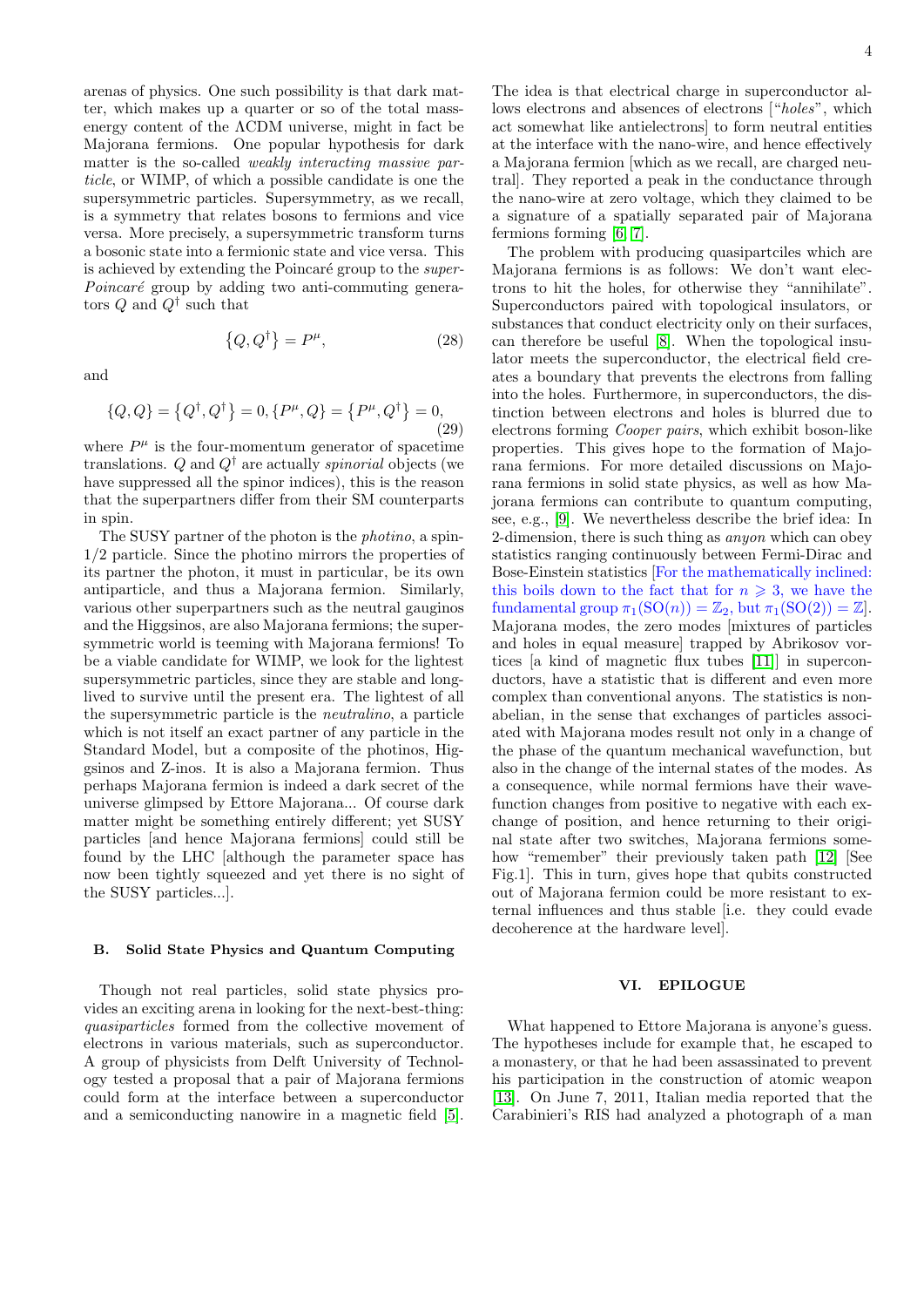arenas of physics. One such possibility is that dark matter, which makes up a quarter or so of the total massenergy content of the ΛCDM universe, might in fact be Majorana fermions. One popular hypothesis for dark matter is the so-called weakly interacting massive particle, or WIMP, of which a possible candidate is one the supersymmetric particles. Supersymmetry, as we recall, is a symmetry that relates bosons to fermions and vice versa. More precisely, a supersymmetric transform turns a bosonic state into a fermionic state and vice versa. This is achieved by extending the Poincaré group to the *super-* $Poincaré$  group by adding two anti-commuting generators  $Q$  and  $Q^{\dagger}$  such that

and

$$
\{Q, Q\} = \{Q^{\dagger}, Q^{\dagger}\} = 0, \{P^{\mu}, Q\} = \{P^{\mu}, Q^{\dagger}\} = 0,
$$
\n(29)

 $\{Q, Q^{\dagger}\} = P^{\mu}$ 

 $(28)$ 

where  $P^{\mu}$  is the four-momentum generator of spacetime translations. Q and  $Q^{\dagger}$  are actually *spinorial* objects (we have suppressed all the spinor indices), this is the reason that the superpartners differ from their SM counterparts in spin.

The SUSY partner of the photon is the *photino*, a spin-1/2 particle. Since the photino mirrors the properties of its partner the photon, it must in particular, be its own antiparticle, and thus a Majorana fermion. Similarly, various other superpartners such as the neutral gauginos and the Higgsinos, are also Majorana fermions; the supersymmetric world is teeming with Majorana fermions! To be a viable candidate for WIMP, we look for the lightest supersymmetric particles, since they are stable and longlived to survive until the present era. The lightest of all the supersymmetric particle is the neutralino, a particle which is not itself an exact partner of any particle in the Standard Model, but a composite of the photinos, Higgsinos and Z-inos. It is also a Majorana fermion. Thus perhaps Majorana fermion is indeed a dark secret of the universe glimpsed by Ettore Majorana... Of course dark matter might be something entirely different; yet SUSY particles [and hence Majorana fermions] could still be found by the LHC [although the parameter space has now been tightly squeezed and yet there is no sight of the SUSY particles...].

#### B. Solid State Physics and Quantum Computing

Though not real particles, solid state physics provides an exciting arena in looking for the next-best-thing: quasiparticles formed from the collective movement of electrons in various materials, such as superconductor. A group of physicists from Delft University of Technology tested a proposal that a pair of Majorana fermions could form at the interface between a superconductor and a semiconducting nanowire in a magnetic field [\[5\]](#page-5-2).

The idea is that electrical charge in superconductor allows electrons and absences of electrons ["holes", which act somewhat like antielectrons] to form neutral entities at the interface with the nano-wire, and hence effectively a Majorana fermion [which as we recall, are charged neutral]. They reported a peak in the conductance through the nano-wire at zero voltage, which they claimed to be a signature of a spatially separated pair of Majorana fermions forming [\[6,](#page-5-3) [7\]](#page-5-4).

The problem with producing quasipartciles which are Majorana fermions is as follows: We don't want electrons to hit the holes, for otherwise they "annihilate". Superconductors paired with topological insulators, or substances that conduct electricity only on their surfaces, can therefore be useful [\[8\]](#page-5-5). When the topological insulator meets the superconductor, the electrical field creates a boundary that prevents the electrons from falling into the holes. Furthermore, in superconductors, the distinction between electrons and holes is blurred due to electrons forming Cooper pairs, which exhibit boson-like properties. This gives hope to the formation of Majorana fermions. For more detailed discussions on Majorana fermions in solid state physics, as well as how Majorana fermions can contribute to quantum computing, see, e.g., [\[9\]](#page-5-6). We nevertheless describe the brief idea: In 2-dimension, there is such thing as anyon which can obey statistics ranging continuously between Fermi-Dirac and Bose-Einstein statistics [For the mathematically inclined: this boils down to the fact that for  $n \geqslant 3$ , we have the fundamental group  $\pi_1(SO(n)) = \mathbb{Z}_2$ , but  $\pi_1(SO(2)) = \mathbb{Z}$ . Majorana modes, the zero modes [mixtures of particles and holes in equal measure] trapped by Abrikosov vortices [a kind of magnetic flux tubes [\[11\]](#page-5-7)] in superconductors, have a statistic that is different and even more complex than conventional anyons. The statistics is nonabelian, in the sense that exchanges of particles associated with Majorana modes result not only in a change of the phase of the quantum mechanical wavefunction, but also in the change of the internal states of the modes. As a consequence, while normal fermions have their wavefunction changes from positive to negative with each exchange of position, and hence returning to their original state after two switches, Majorana fermions some-how "remember" their previously taken path [\[12\]](#page-5-8) [See Fig.1]. This in turn, gives hope that qubits constructed out of Majorana fermion could be more resistant to external influences and thus stable [i.e. they could evade decoherence at the hardware level].

#### VI. EPILOGUE

What happened to Ettore Majorana is anyone's guess. The hypotheses include for example that, he escaped to a monastery, or that he had been assassinated to prevent his participation in the construction of atomic weapon [\[13\]](#page-5-9). On June 7, 2011, Italian media reported that the Carabinieri's RIS had analyzed a photograph of a man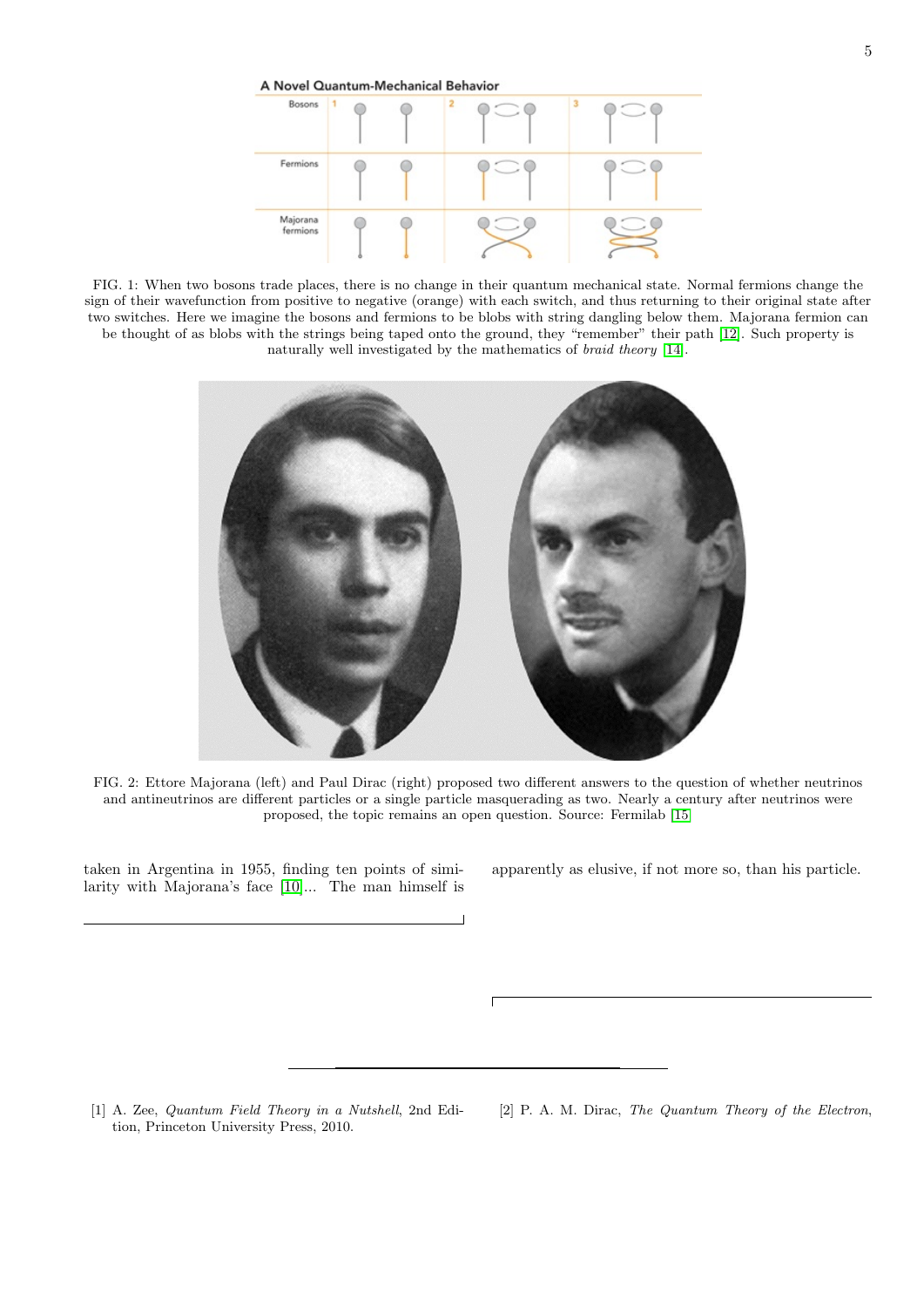A Novel Quantum-Mechanical Behavior Bosons Fermions Majorana C fermions

FIG. 1: When two bosons trade places, there is no change in their quantum mechanical state. Normal fermions change the sign of their wavefunction from positive to negative (orange) with each switch, and thus returning to their original state after two switches. Here we imagine the bosons and fermions to be blobs with string dangling below them. Majorana fermion can be thought of as blobs with the strings being taped onto the ground, they "remember" their path [\[12\]](#page-5-8). Such property is naturally well investigated by the mathematics of braid theory [\[14\]](#page-5-10).



FIG. 2: Ettore Majorana (left) and Paul Dirac (right) proposed two different answers to the question of whether neutrinos and antineutrinos are different particles or a single particle masquerading as two. Nearly a century after neutrinos were proposed, the topic remains an open question. Source: Fermilab [\[15\]](#page-5-11)

taken in Argentina in 1955, finding ten points of similarity with Majorana's face [\[10\]](#page-5-12)... The man himself is apparently as elusive, if not more so, than his particle.

<span id="page-4-0"></span>[1] A. Zee, Quantum Field Theory in a Nutshell, 2nd Edition, Princeton University Press, 2010.

<span id="page-4-1"></span>[2] P. A. M. Dirac, The Quantum Theory of the Electron,